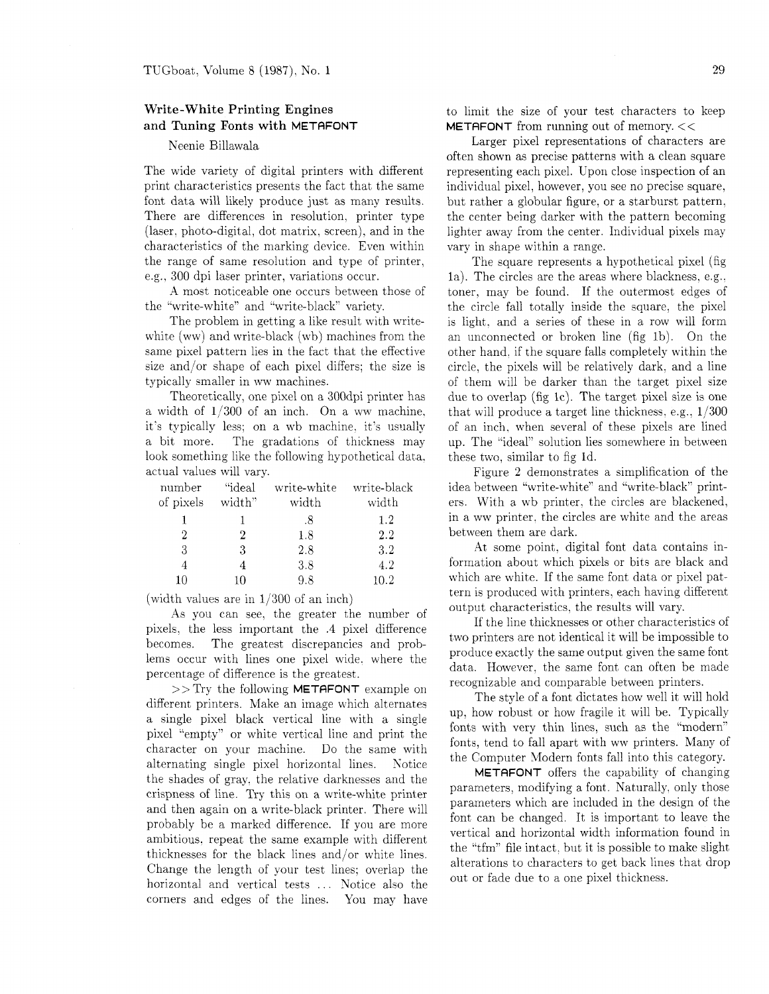## Write-White Printing Engines and Tuning Fonts with METAFONT

## Neenie Billawala

The wide variety of digital printers with different print characteristics presents the fact that the same font data will likely produce just as many results. There are differences in resolution. printer type (laser, photo-digital, dot matrix, screen), and in the characteristics of the marking device. Even within the range of same resolution and type of printer, e.g., 300 dpi laser printer, variations occur.

A most noticeable one occurs between those of the "write-white" and "write-black" variety.

The problem in getting a like result with writewhite (ww) and write-black (wb) machines from the same pixel pattern lies in the fact that the effective size and/or shape of each pixel differs; the size is typically smaller in ww machines.

Theoretically, one pixel on a 300dpi printer has a width of  $1/300$  of an inch. On a ww machine, it's typically less: on a wb machine, it's usually a bit more. The gradations of thickness may look something like the following hypothetical data, actual values will vary.

| number         | "ideal | write-white | write-black |
|----------------|--------|-------------|-------------|
| of pixels      | width" | width       | width       |
|                |        | -8          | 1.2         |
| $\overline{2}$ | 2      | 1.8         | 2.2         |
| 3              | 3      | 2.8         | 3.2         |
| 4              |        | 3.8         | 4.2         |
| 10             | 10     | 9.8         | 10.2        |

(width values are in 1/300 of an inch)

As you can see. the greater the number of pixels. the less important the .4 pixel difference becomes. The greatest discrepancies and problems occur with lines one pixel wide. where the percentage of difference is the greatest.

 $>>$  Try the following **METAFONT** example on different printers. Make an image which alternates a single pixel black vertical line with a single pixel "empty" or white vertical line and print the character on your machine. Do the same with alternating single pixel horizontal lines. Notice the shades of gray. the relative darknesses and the crispness of line. Try this on a write-white printer and then again on a write-black printer. There will probably be a marked difference. If you are more ambitious. repeat the same example with different thicknesses for the black lines and/or white lines. Change the length of your test lines; overlap the horizontal and vertical tests ... Notice also the corners and edges of the lines. You may have

to limit the size of your test characters to keep **METAFONT** from running out of memory.  $<<$ 

Larger pixel representations of characters are often shown as precise patterns with a clean square representing each pixel. Upon close inspection of an individual pixel, however, you see no precise square. but rather a globular figure. or a starburst pattern, the center being darker with the pattern becoming lighter away from the center. Individual pixels may vary in shape within a range.

The square represents a hypothetical pixel (fig la). The circles are the areas where blackness. e.g.. toner, may be found. If the outermost edges of the circle fall totally inside the square. the pixel is light. and a series of these in a row will form an unconnected or broken line (fig lb). On the other hand. if the square falls completely within the circle, the pixels will be relatively dark. and a line of them will be darker than the target pixel size due to overlap (fig lc). The target pixel size is one that will produce a target line thickness, e.g.,  $1/300$ of an inch, when several of these pixels are lined up. The "ideal" solution lies somewhere in between these two, similar to fig Id.

Figure 2 demonstrates a simplification of the idea between "write-white" and "write-black" printers. With a wb printer, the circles are blackened, in a ww printer. the circles are white and the areas between them are dark.

At some point. digital font data contains information about which pixels or bits are black and which are white. If the same font data or pixel pattern is produced with printers, each having different output characteristics, the results will vary.

If the line thicknesses or other characteristics of two printers are not identical it will be impossible to produce exactly the same output given the same font data. However, the same font can often be made recognizable and comparable between printers.

The style of a font dictates how well it will hold up, how robust or how fragile it will be. Typically fonts with very thin lines, such as the "modern" fonts, tend to fall apart with ww printers. Many of the Computer Modern fonts fall into this category.

METAFONT offers the capability of changing parameters, modifying a font. Naturally, only those parameters which are included in the design of the font can be changed. It is important to leave the vertical and horizontal width information found in the "tfm" file intact. but it is possible to make slight alterations to characters to get back lines that drop out or fade due to a one pixel thickness.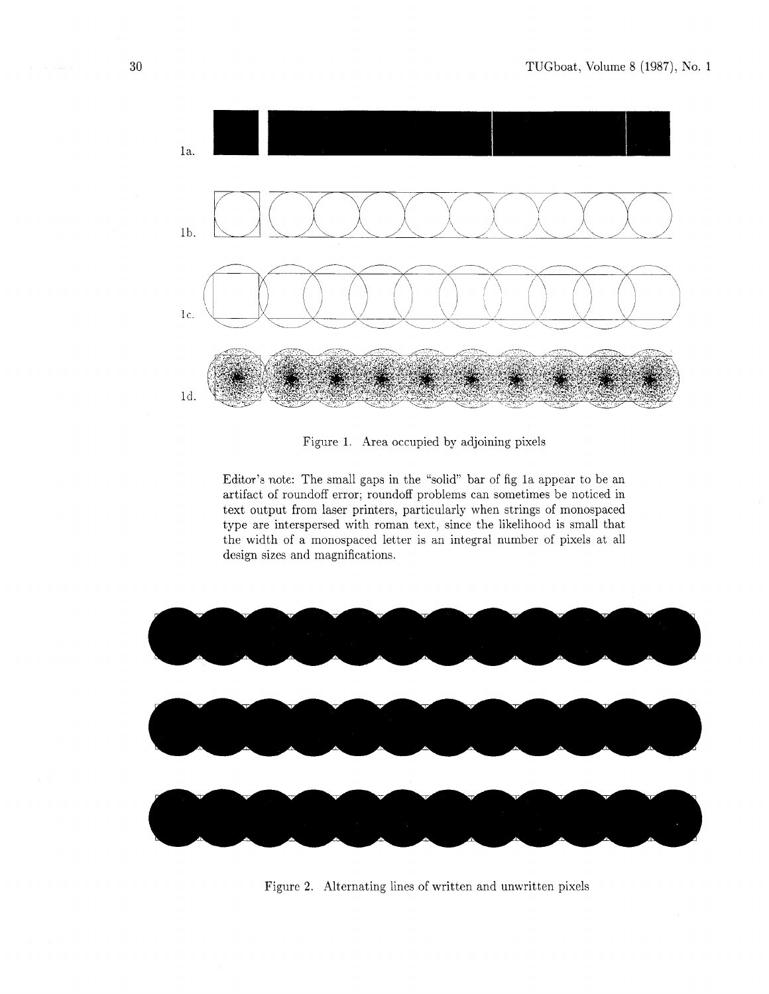

Figure 1. Area occupied by adjoining pixels

Editor's note: The small gaps in the "solid" bar of fig la appear to be an artifact of roundoff error; roundoff problems can sometimes be noticed in text output from laser printers, particularly when strings of monospaced type are interspersed with roman text, since the likelihood is small that the width of a monospaced letter is an integral number of pixels at all design sizes and magnifications.



Figure 2. Alternating lines of written and unwritten pixels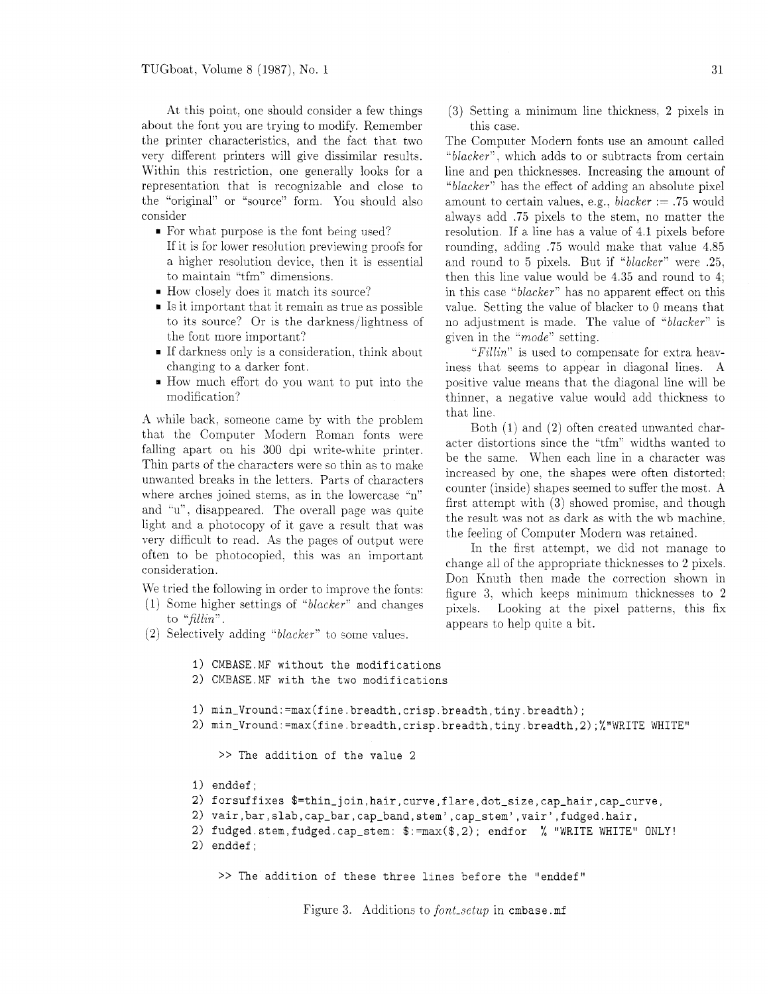At this point. one should consider a few things about the font you are trying to modify. Remember the printer characteristics. and the fact that two very different printers will give dissimilar results. Within this restriction, one generally looks for a representation that is recognizable and close to the "original" or "source" form. You should also consider

- For what purpose is the font being used? If it is for lower resolution previewing proofs for a higher resolution device. then it is essential to maintain "tfm" dimensions.
- How closely does it match its source?
- Is it important that it remain as true as possible to its source? Or is the darkness/lightness of the font more important?
- If darkness only is a consideration, think about changing to a darker font.
- How much effort do you want to put into the modification?

**A** while back, someone came by with the problem that the Computer Modern Roman fonts were falling apart on his 300 dpi write-white printer. Thin parts of the characters were so thin as to make unwanted breaks in the letters. Parts of characters where arches joined stems, as in the lowercase "n" and "u", disappeared. The overall page was quite light and a photocopy of it gave a result that was very difficult to read. As the pages of output were often to be photocopied, this was an important consideration.

We tried the following in order to improve the fonts:

- (I) Some higher settings of "blacker" and changes to "fillin".
- (2) Selectively adding " $blacker$ " to some values.
	- **1)** CMBASE.MF without the modifications
	- 2) CMBASE.MF with the two modifications
	- 1)  $min_Vround:=max(fine.breadth,crisp.breadth,ting.breadth);$
	- 2) min\_Vround:=max(fine.breadth,crisp.breadth,tiny.breadth,2);%"WRITE WHITE"

>> The addition of the value 2

- 1) enddef ;
- 2) forsuffixes  $f=thin.join,hair, curve, flare, dot_size, cap_hair, cap_curve,$
- 2) vair,bar,slab,cap\_bar,cap\_band,stem',cap\_stem',vair',fudged.hair,
- 2) fudged.stem,fudged.cap\_stem:  $\frac{1}{2}$ :=max(\$,2); endfor % "WRITE WHITE" ONLY!
- 2) enddef ;

>> The addition of these three lines before the "enddef"

Figure 3. Additions to font-setup in cmbase .mf

(3) Setting a minimum line thickness. 2 pixels in this case.

The Computer Modern fonts use an amount called "blacker". which adds to or subtracts from certain line and pen thicknesses. Increasing the amount of "blacker" has the effect of adding an absolute pixel amount to certain values, e.g.,  $blacker := .75$  would always add .75 pixels to the stem. no matter the resolution. If a line has a value of 4.1 pixels before rounding, adding .75 would make that value 4.85 and round to 5 pixels. But if "blacker" were .25, then this line value would be 4.35 and round to 4; in this case "blacker" has no apparent effect on this value. Setting the value of blacker to 0 means that no adjustment is made. The value of "blacker" is given in the " $mode$ " setting.

" $Fillin$ " is used to compensate for extra heaviness that seems to appear in diagonal lines. A positive value means that the diagonal line will be thinner, a negative value would add thickness to that line

Both (1) and (2) often created unwanted character distortions since the "tfm" widths wanted to be the same. When each line in a character was increased by one, the shapes were often distorted: counter (inside) shapes seemed to suffer the most A first attempt with (3) showed promise. and though the result was not as dark as with the wb machine. the feeling of Computer Modern was retained.

In the first attempt. we did not manage to change all of the appropriate thicknesses to 2 pixels. Don Knuth then made the correction shown in figure 3. which keeps minimum thicknesses to 2 pixels. Looking at the pixel patterns, this fix appears to help quite a bit.